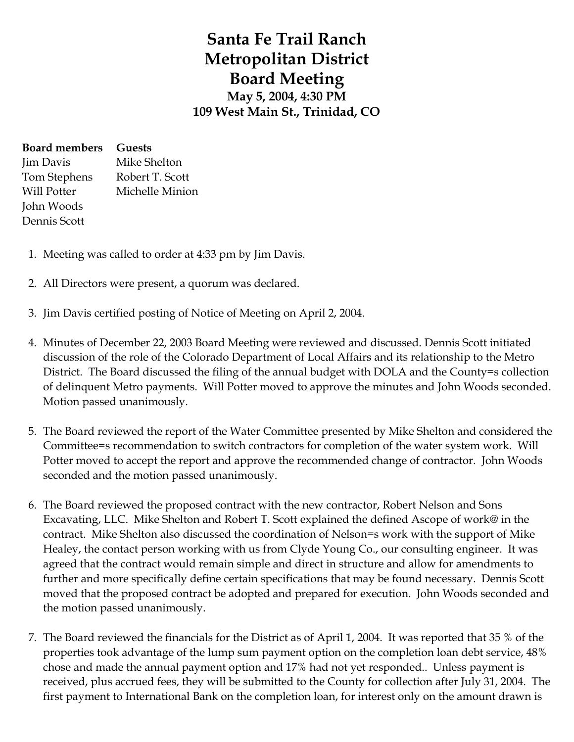## **Santa Fe Trail Ranch Metropolitan District Board Meeting May 5, 2004, 4:30 PM 109 West Main St., Trinidad, CO**

| <b>Board members</b> Guests |                 |
|-----------------------------|-----------------|
| Jim Davis                   | Mike Shelton    |
| Tom Stephens                | Robert T. Scott |
| Will Potter                 | Michelle Minion |
| John Woods                  |                 |
| Dennis Scott                |                 |
|                             |                 |

- 1. Meeting was called to order at 4:33 pm by Jim Davis.
- 2. All Directors were present, a quorum was declared.
- 3. Jim Davis certified posting of Notice of Meeting on April 2, 2004.
- 4. Minutes of December 22, 2003 Board Meeting were reviewed and discussed. Dennis Scott initiated discussion of the role of the Colorado Department of Local Affairs and its relationship to the Metro District. The Board discussed the filing of the annual budget with DOLA and the County=s collection of delinquent Metro payments. Will Potter moved to approve the minutes and John Woods seconded. Motion passed unanimously.
- 5. The Board reviewed the report of the Water Committee presented by Mike Shelton and considered the Committee=s recommendation to switch contractors for completion of the water system work. Will Potter moved to accept the report and approve the recommended change of contractor. John Woods seconded and the motion passed unanimously.
- 6. The Board reviewed the proposed contract with the new contractor, Robert Nelson and Sons Excavating, LLC. Mike Shelton and Robert T. Scott explained the defined Ascope of work@ in the contract. Mike Shelton also discussed the coordination of Nelson=s work with the support of Mike Healey, the contact person working with us from Clyde Young Co., our consulting engineer. It was agreed that the contract would remain simple and direct in structure and allow for amendments to further and more specifically define certain specifications that may be found necessary. Dennis Scott moved that the proposed contract be adopted and prepared for execution. John Woods seconded and the motion passed unanimously.
- 7. The Board reviewed the financials for the District as of April 1, 2004. It was reported that 35 % of the properties took advantage of the lump sum payment option on the completion loan debt service, 48% chose and made the annual payment option and 17% had not yet responded.. Unless payment is received, plus accrued fees, they will be submitted to the County for collection after July 31, 2004. The first payment to International Bank on the completion loan, for interest only on the amount drawn is